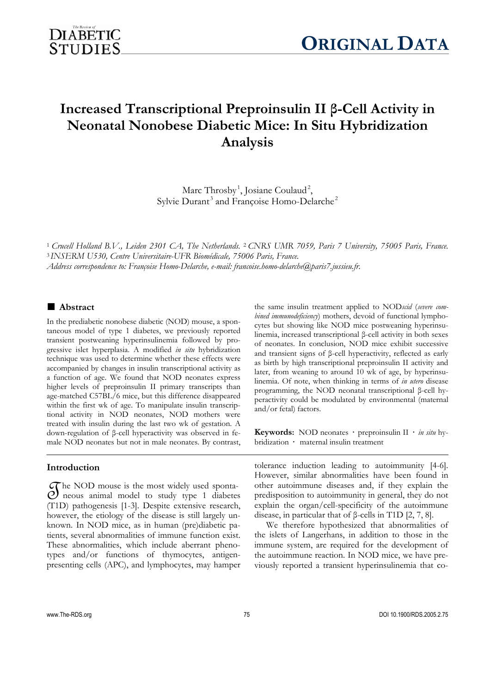

# **Increased Transcriptional Preproinsulin II β-Cell Activity in Neonatal Nonobese Diabetic Mice: In Situ Hybridization Analysis**

Marc Throsby<sup>1</sup>, Josiane Coulaud<sup>2</sup>, Sylvie Durant<sup>3</sup> and Françoise Homo-Delarche<sup>2</sup>

<sup>1</sup>*Crucell Holland B.V., Leiden 2301 CA, The Netherlands.* <sup>2</sup> *CNRS UMR 7059, Paris 7 University, 75005 Paris, France.* 

<sup>3</sup> *INSERM U530, Centre Universitaire-UFR Biomédicale, 75006 Paris, France.* 

*Address correspondence to: Françoise Homo-Delarche, e-mail: francoise.homo-delarche@paris7.jussieu.fr.* 

# ■ **Abstract**

In the prediabetic nonobese diabetic (NOD) mouse, a spontaneous model of type 1 diabetes, we previously reported transient postweaning hyperinsulinemia followed by progressive islet hyperplasia. A modified *in situ* hybridization technique was used to determine whether these effects were accompanied by changes in insulin transcriptional activity as a function of age. We found that NOD neonates express higher levels of preproinsulin II primary transcripts than age-matched C57BL/6 mice, but this difference disappeared within the first wk of age. To manipulate insulin transcriptional activity in NOD neonates, NOD mothers were treated with insulin during the last two wk of gestation. A down-regulation of β-cell hyperactivity was observed in female NOD neonates but not in male neonates. By contrast,

# **Introduction**

 $\mathcal{O}$  he NOD mouse is the most widely used sponta-<br>  $\mathcal{O}$  neous animal model to study type 1 diabetes<br>  $(T1D)$  pathogenesis [1-3]. Despite extensive research  $\sigma$  he NOD mouse is the most widely used sponta-(T1D) pathogenesis [1-3]. Despite extensive research, however, the etiology of the disease is still largely unknown. In NOD mice, as in human (pre)diabetic patients, several abnormalities of immune function exist. These abnormalities, which include aberrant phenotypes and/or functions of thymocytes, antigenpresenting cells (APC), and lymphocytes, may hamper

the same insulin treatment applied to NOD*scid* (*severe combined immunodeficiency*) mothers, devoid of functional lymphocytes but showing like NOD mice postweaning hyperinsulinemia, increased transcriptional β-cell activity in both sexes of neonates. In conclusion, NOD mice exhibit successive and transient signs of β-cell hyperactivity, reflected as early as birth by high transcriptional preproinsulin II activity and later, from weaning to around 10 wk of age, by hyperinsulinemia. Of note, when thinking in terms of *in utero* disease programming, the NOD neonatal transcriptional β-cell hyperactivity could be modulated by environmental (maternal and/or fetal) factors.

**Keywords:** NOD neonates **·** preproinsulin II **·** *in situ* hybridization **·** maternal insulin treatment

tolerance induction leading to autoimmunity [4-6]. However, similar abnormalities have been found in other autoimmune diseases and, if they explain the predisposition to autoimmunity in general, they do not explain the organ/cell-specificity of the autoimmune disease, in particular that of β-cells in T1D [2, 7, 8].

We therefore hypothesized that abnormalities of the islets of Langerhans, in addition to those in the immune system, are required for the development of the autoimmune reaction. In NOD mice, we have previously reported a transient hyperinsulinemia that co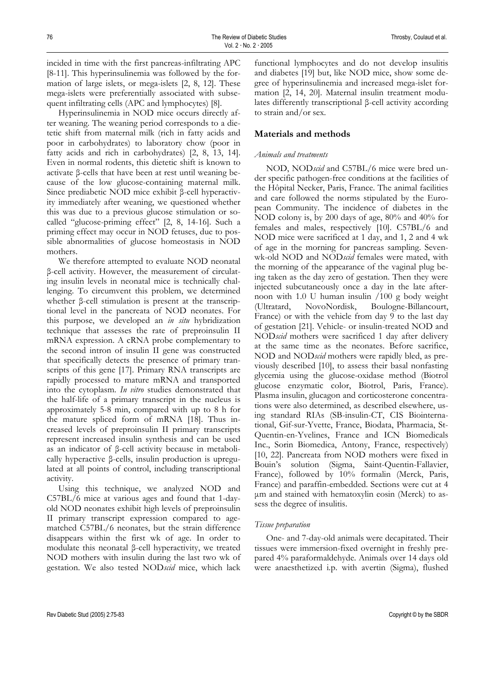incided in time with the first pancreas-infiltrating APC [8-11]. This hyperinsulinemia was followed by the formation of large islets, or mega-islets [2, 8, 12]. These mega-islets were preferentially associated with subsequent infiltrating cells (APC and lymphocytes) [8].

Hyperinsulinemia in NOD mice occurs directly after weaning. The weaning period corresponds to a dietetic shift from maternal milk (rich in fatty acids and poor in carbohydrates) to laboratory chow (poor in fatty acids and rich in carbohydrates) [2, 8, 13, 14]. Even in normal rodents, this dietetic shift is known to activate β-cells that have been at rest until weaning because of the low glucose-containing maternal milk. Since prediabetic NOD mice exhibit β-cell hyperactivity immediately after weaning, we questioned whether this was due to a previous glucose stimulation or socalled "glucose-priming effect" [2, 8, 14-16]. Such a priming effect may occur in NOD fetuses, due to possible abnormalities of glucose homeostasis in NOD mothers.

We therefore attempted to evaluate NOD neonatal β-cell activity. However, the measurement of circulating insulin levels in neonatal mice is technically challenging. To circumvent this problem, we determined whether β-cell stimulation is present at the transcriptional level in the pancreata of NOD neonates. For this purpose, we developed an *in situ* hybridization technique that assesses the rate of preproinsulin II mRNA expression. A cRNA probe complementary to the second intron of insulin II gene was constructed that specifically detects the presence of primary transcripts of this gene [17]. Primary RNA transcripts are rapidly processed to mature mRNA and transported into the cytoplasm. *In vitro* studies demonstrated that the half-life of a primary transcript in the nucleus is approximately 5-8 min, compared with up to 8 h for the mature spliced form of mRNA [18]. Thus increased levels of preproinsulin II primary transcripts represent increased insulin synthesis and can be used as an indicator of β-cell activity because in metabolically hyperactive β-cells, insulin production is upregulated at all points of control, including transcriptional activity.

Using this technique, we analyzed NOD and C57BL/6 mice at various ages and found that 1-dayold NOD neonates exhibit high levels of preproinsulin II primary transcript expression compared to agematched C57BL/6 neonates, but the strain difference disappears within the first wk of age. In order to modulate this neonatal β-cell hyperactivity, we treated NOD mothers with insulin during the last two wk of gestation. We also tested NOD*scid* mice, which lack

functional lymphocytes and do not develop insulitis and diabetes [19] but, like NOD mice, show some degree of hyperinsulinemia and increased mega-islet formation [2, 14, 20]. Maternal insulin treatment modulates differently transcriptional β-cell activity according to strain and/or sex.

# **Materials and methods**

#### *Animals and treatments*

NOD, NOD*scid* and C57BL/6 mice were bred under specific pathogen-free conditions at the facilities of the Hôpital Necker, Paris, France. The animal facilities and care followed the norms stipulated by the European Community. The incidence of diabetes in the NOD colony is, by 200 days of age, 80% and 40% for females and males, respectively [10]. C57BL/6 and NOD mice were sacrificed at 1 day, and 1, 2 and 4 wk of age in the morning for pancreas sampling. Sevenwk-old NOD and NOD*scid* females were mated, with the morning of the appearance of the vaginal plug being taken as the day zero of gestation. Then they were injected subcutaneously once a day in the late afternoon with 1.0 U human insulin /100 g body weight (Ultratard, NovoNordisk, Boulogne-Billancourt, France) or with the vehicle from day 9 to the last day of gestation [21]. Vehicle- or insulin-treated NOD and NOD*scid* mothers were sacrificed 1 day after delivery at the same time as the neonates. Before sacrifice, NOD and NOD*scid* mothers were rapidly bled, as previously described [10], to assess their basal nonfasting glycemia using the glucose-oxidase method (Biotrol glucose enzymatic color, Biotrol, Paris, France). Plasma insulin, glucagon and corticosterone concentrations were also determined, as described elsewhere, using standard RIAs (SB-insulin-CT, CIS Biointernational, Gif-sur-Yvette, France, Biodata, Pharmacia, St-Quentin-en-Yvelines, France and ICN Biomedicals Inc., Sorin Biomedica, Antony, France, respectively) [10, 22]. Pancreata from NOD mothers were fixed in Bouin's solution (Sigma, Saint-Quentin-Fallavier, France), followed by 10% formalin (Merck, Paris, France) and paraffin-embedded. Sections were cut at 4 µm and stained with hematoxylin eosin (Merck) to assess the degree of insulitis.

#### *Tissue preparation*

One- and 7-day-old animals were decapitated. Their tissues were immersion-fixed overnight in freshly prepared 4% paraformaldehyde. Animals over 14 days old were anaesthetized i.p. with avertin (Sigma), flushed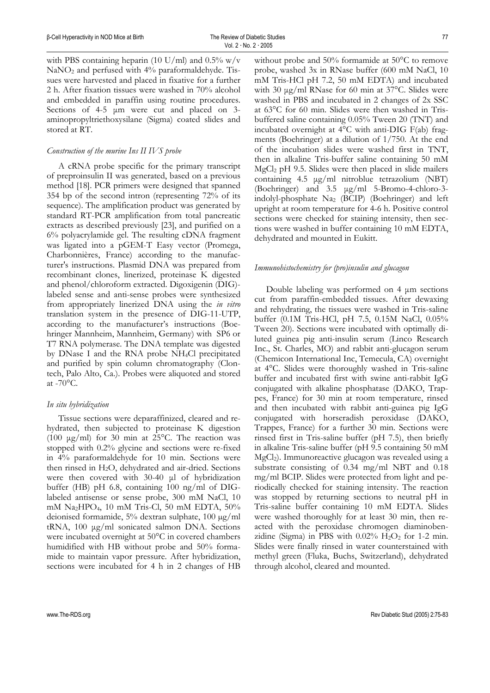with PBS containing heparin (10 U/ml) and  $0.5\%$  w/v NaNO<sub>2</sub> and perfused with 4% paraformaldehyde. Tissues were harvested and placed in fixative for a further 2 h. After fixation tissues were washed in 70% alcohol and embedded in paraffin using routine procedures. Sections of 4-5  $\mu$ m were cut and placed on 3aminopropyltriethoxysilane (Sigma) coated slides and stored at RT.

# *Construction of the murine Ins II IVS probe*

A cRNA probe specific for the primary transcript of preproinsulin II was generated, based on a previous method [18]. PCR primers were designed that spanned 354 bp of the second intron (representing 72% of its sequence). The amplification product was generated by standard RT-PCR amplification from total pancreatic extracts as described previously [23], and purified on a 6% polyacrylamide gel. The resulting cDNA fragment was ligated into a pGEM-T Easy vector (Promega, Charbonnières, France) according to the manufacturer's instructions. Plasmid DNA was prepared from recombinant clones, linerized, proteinase K digested and phenol/chloroform extracted. Digoxigenin (DIG) labeled sense and anti-sense probes were synthesized from appropriately linerized DNA using the *in vitro* translation system in the presence of DIG-11-UTP, according to the manufacturer's instructions (Boehringer Mannheim, Mannheim, Germany) with SP6 or T7 RNA polymerase. The DNA template was digested by DNase I and the RNA probe NH4Cl precipitated and purified by spin column chromatography (Clontech, Palo Alto, Ca.). Probes were aliquoted and stored at  $-70$ °C.

# *In situ hybridization*

Tissue sections were deparaffinized, cleared and rehydrated, then subjected to proteinase K digestion (100  $\mu$ g/ml) for 30 min at 25°C. The reaction was stopped with 0.2% glycine and sections were re-fixed in 4% paraformaldehyde for 10 min. Sections were then rinsed in  $H_2O$ , dehydrated and air-dried. Sections were then covered with 30-40 µl of hybridization buffer (HB) pH 6.8, containing 100 ng/ml of DIGlabeled antisense or sense probe, 300 mM NaCl, 10 mM Na2HPO4, 10 mM Tris-Cl, 50 mM EDTA, 50% deionised formamide, 5% dextran sulphate, 100 µg/ml tRNA, 100 µg/ml sonicated salmon DNA. Sections were incubated overnight at 50°C in covered chambers humidified with HB without probe and 50% formamide to maintain vapor pressure. After hybridization, sections were incubated for 4 h in 2 changes of HB

without probe and 50% formamide at 50°C to remove probe, washed 3x in RNase buffer (600 mM NaCl, 10 mM Tris-HCl pH 7.2, 50 mM EDTA) and incubated with 30  $\mu$ g/ml RNase for 60 min at 37 $^{\circ}$ C. Slides were washed in PBS and incubated in 2 changes of 2x SSC at 63°C for 60 min. Slides were then washed in Trisbuffered saline containing 0.05% Tween 20 (TNT) and incubated overnight at 4°C with anti-DIG F(ab) fragments (Boehringer) at a dilution of 1/750. At the end of the incubation slides were washed first in TNT, then in alkaline Tris-buffer saline containing 50 mM MgCl2 pH 9.5. Slides were then placed in slide mailers containing 4.5 µg/ml nitroblue tetrazolium (NBT) (Boehringer) and 3.5 µg/ml 5-Bromo-4-chloro-3 indolyl-phosphate Na2 (BCIP) (Boehringer) and left upright at room temperature for 4-6 h. Positive control sections were checked for staining intensity, then sections were washed in buffer containing 10 mM EDTA, dehydrated and mounted in Eukitt.

#### *Immunohistochemistry for (pro)insulin and glucagon*

Double labeling was performed on 4 µm sections cut from paraffin-embedded tissues. After dewaxing and rehydrating, the tissues were washed in Tris-saline buffer (0.1M Tris-HCl, pH 7.5, 0.15M NaCl, 0.05% Tween 20). Sections were incubated with optimally diluted guinea pig anti-insulin serum (Linco Research Inc., St. Charles, MO) and rabbit anti-glucagon serum (Chemicon International Inc, Temecula, CA) overnight at 4°C. Slides were thoroughly washed in Tris-saline buffer and incubated first with swine anti-rabbit IgG conjugated with alkaline phosphatase (DAKO, Trappes, France) for 30 min at room temperature, rinsed and then incubated with rabbit anti-guinea pig IgG conjugated with horseradish peroxidase (DAKO, Trappes, France) for a further 30 min. Sections were rinsed first in Tris-saline buffer (pH 7.5), then briefly in alkaline Tris-saline buffer (pH 9.5 containing 50 mM MgCl2). Immunoreactive glucagon was revealed using a substrate consisting of 0.34 mg/ml NBT and 0.18 mg/ml BCIP. Slides were protected from light and periodically checked for staining intensity. The reaction was stopped by returning sections to neutral pH in Tris-saline buffer containing 10 mM EDTA. Slides were washed thoroughly for at least 30 min, then reacted with the peroxidase chromogen diaminobenzidine (Sigma) in PBS with  $0.02\%$  H<sub>2</sub>O<sub>2</sub> for 1-2 min. Slides were finally rinsed in water counterstained with methyl green (Fluka, Buchs, Switzerland), dehydrated through alcohol, cleared and mounted.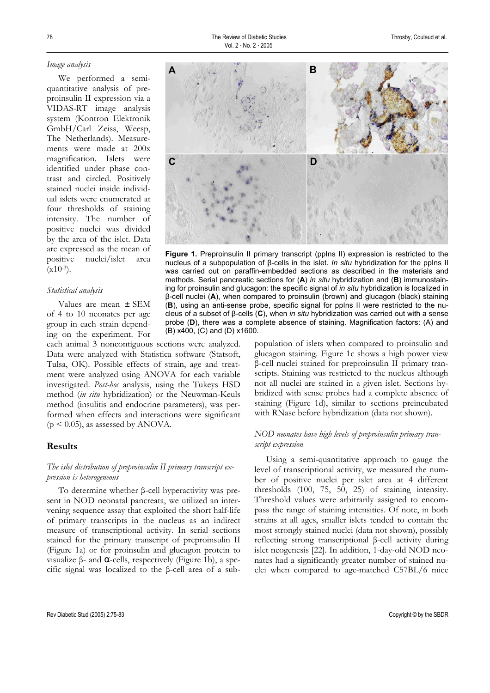#### *Image analysis*

We performed a semiquantitative analysis of preproinsulin II expression via a VIDAS-RT image analysis system (Kontron Elektronik GmbH/Carl Zeiss, Weesp, The Netherlands). Measurements were made at 200x magnification. Islets were identified under phase contrast and circled. Positively stained nuclei inside individual islets were enumerated at four thresholds of staining intensity. The number of positive nuclei was divided by the area of the islet. Data are expressed as the mean of positive nuclei/islet area  $(x10^{-3})$ .

#### *Statistical analysis*

Values are mean ± SEM of 4 to 10 neonates per age group in each strain depending on the experiment. For

each animal 3 noncontiguous sections were analyzed. Data were analyzed with Statistica software (Statsoft, Tulsa, OK). Possible effects of strain, age and treatment were analyzed using ANOVA for each variable investigated. *Post-hoc* analysis, using the Tukeys HSD method (*in situ* hybridization) or the Neuwman-Keuls method (insulitis and endocrine parameters), was performed when effects and interactions were significant  $(p \le 0.05)$ , as assessed by ANOVA.

# **Results**

# *The islet distribution of preproinsulin II primary transcript expression is heterogeneous*

To determine whether β-cell hyperactivity was present in NOD neonatal pancreata, we utilized an intervening sequence assay that exploited the short half-life of primary transcripts in the nucleus as an indirect measure of transcriptional activity. In serial sections stained for the primary transcript of preproinsulin II (Figure 1a) or for proinsulin and glucagon protein to visualize β- and  $\alpha$ -cells, respectively (Figure 1b), a specific signal was localized to the β-cell area of a sub-



Figure 1. Preproinsulin II primary transcript (ppIns II) expression is restricted to the nucleus of a subpopulation of β-cells in the islet. *In situ* hybridization for the ppIns II was carried out on paraffin-embedded sections as described in the materials and methods. Serial pancreatic sections for (**A**) *in situ* hybridization and (**B**) immunostaining for proinsulin and glucagon: the specific signal of *in situ* hybridization is localized in β-cell nuclei (**A**), when compared to proinsulin (brown) and glucagon (black) staining (**B**), using an anti-sense probe, specific signal for ppIns II were restricted to the nucleus of a subset of β-cells (**C**), when *in situ* hybridization was carried out with a sense probe (**D**), there was a complete absence of staining. Magnification factors: (A) and (B) x400, (C) and (D) x1600.

> population of islets when compared to proinsulin and glucagon staining. Figure 1c shows a high power view β-cell nuclei stained for preproinsulin II primary transcripts. Staining was restricted to the nucleus although not all nuclei are stained in a given islet. Sections hybridized with sense probes had a complete absence of staining (Figure 1d), similar to sections preincubated with RNase before hybridization (data not shown).

# *NOD neonates have high levels of preproinsulin primary transcript expression*

Using a semi-quantitative approach to gauge the level of transcriptional activity, we measured the number of positive nuclei per islet area at 4 different thresholds (100, 75, 50, 25) of staining intensity. Threshold values were arbitrarily assigned to encompass the range of staining intensities. Of note, in both strains at all ages, smaller islets tended to contain the most strongly stained nuclei (data not shown), possibly reflecting strong transcriptional β-cell activity during islet neogenesis [22]. In addition, 1-day-old NOD neonates had a significantly greater number of stained nuclei when compared to age-matched C57BL/6 mice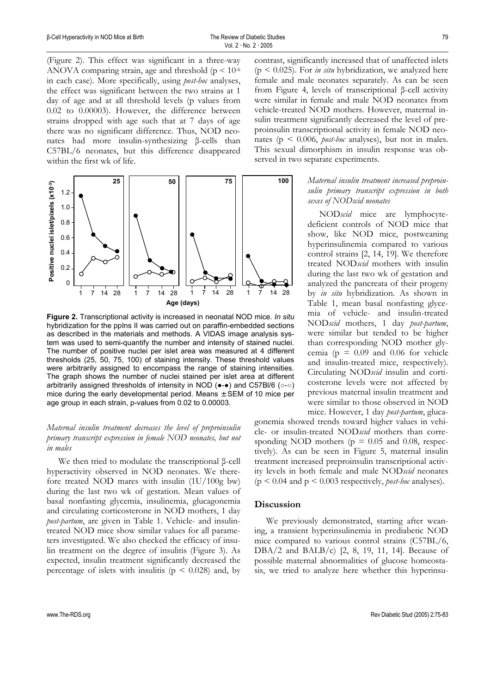(Figure 2). This effect was significant in a three-way ANOVA comparing strain, age and threshold ( $p < 10^{-6}$ ) in each case). More specifically, using *post-hoc* analyses, the effect was significant between the two strains at 1 day of age and at all threshold levels (p values from 0.02 to 0.00003). However, the difference between strains dropped with age such that at 7 days of age there was no significant difference. Thus, NOD neonates had more insulin-synthesizing β-cells than C57BL/6 neonates, but this difference disappeared within the first wk of life.



**Figure 2.** Transcriptional activity is increased in neonatal NOD mice. *In situ* hybridization for the ppIns II was carried out on paraffin-embedded sections as described in the materials and methods. A VIDAS image analysis system was used to semi-quantify the number and intensity of stained nuclei. The number of positive nuclei per islet area was measured at 4 different thresholds (25, 50, 75, 100) of staining intensity. These threshold values were arbitrarily assigned to encompass the range of staining intensities. The graph shows the number of nuclei stained per islet area at different arbitrarily assigned thresholds of intensity in NOD (●-●) and C57Bl/6 (○-○) mice during the early developmental period. Means  $\pm$  SEM of 10 mice per age group in each strain, p-values from 0.02 to 0.00003.

# *Maternal insulin treatment decreases the level of preproinsulin primary transcript expression in female NOD neonates, but not in males*

We then tried to modulate the transcriptional β-cell hyperactivity observed in NOD neonates. We therefore treated NOD mares with insulin (1U/100g bw) during the last two wk of gestation. Mean values of basal nonfasting glycemia, insulinemia, glucagonemia and circulating corticosterone in NOD mothers, 1 day *post-partum*, are given in Table 1. Vehicle- and insulintreated NOD mice show similar values for all parameters investigated. We also checked the efficacy of insulin treatment on the degree of insulitis (Figure 3). As expected, insulin treatment significantly decreased the percentage of islets with insulitis ( $p \leq 0.028$ ) and, by

contrast, significantly increased that of unaffected islets  $(p \le 0.025)$ . For *in situ* hybridization, we analyzed here female and male neonates separately. As can be seen from Figure 4, levels of transcriptional β-cell activity were similar in female and male NOD neonates from vehicle-treated NOD mothers. However, maternal insulin treatment significantly decreased the level of preproinsulin transcriptional activity in female NOD neonates ( $p \le 0.006$ , *post-hoc* analyses), but not in males. This sexual dimorphism in insulin response was observed in two separate experiments.

> *Maternal insulin treatment increased preproinsulin primary transcript expression in both sexes of NODscid neonates*

NOD*scid* mice are lymphocytedeficient controls of NOD mice that show, like NOD mice, postweaning hyperinsulinemia compared to various control strains [2, 14, 19]. We therefore treated NOD*scid* mothers with insulin during the last two wk of gestation and analyzed the pancreata of their progeny by *in situ* hybridization. As shown in Table 1, mean basal nonfasting glycemia of vehicle- and insulin-treated NOD*scid* mothers, 1 day *post-partum*, were similar but tended to be higher than corresponding NOD mother glycemia ( $p = 0.09$  and 0.06 for vehicle and insulin-treated mice, respectively). Circulating NOD*scid* insulin and corticosterone levels were not affected by previous maternal insulin treatment and were similar to those observed in NOD mice. However, 1 day *post-partum*, gluca-

gonemia showed trends toward higher values in vehicle- or insulin-treated NOD*scid* mothers than corresponding NOD mothers ( $p = 0.05$  and 0.08, respectively). As can be seen in Figure 5, maternal insulin treatment increased preproinsulin transcriptional activity levels in both female and male NOD*scid* neonates (p < 0.04 and p < 0.003 respectively, *post-hoc* analyses).

## **Discussion**

We previously demonstrated, starting after weaning, a transient hyperinsulinemia in prediabetic NOD mice compared to various control strains (C57BL/6, DBA/2 and BALB/c) [2, 8, 19, 11, 14]. Because of possible maternal abnormalities of glucose homeostasis, we tried to analyze here whether this hyperinsu-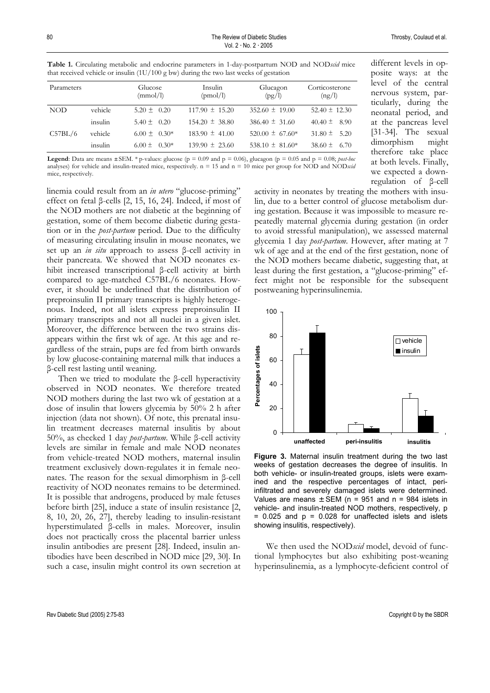| Parameters |         | Glucose<br>(mmol/l) | Insulin<br>(pmol/l) | Glucagon<br>(pg/l)  | Corticosterone<br>(ng/l) |
|------------|---------|---------------------|---------------------|---------------------|--------------------------|
| NOD        | vehicle | $5.20 \pm 0.20$     | $117.90 \pm 15.20$  | $352.60 \pm 19.00$  | $52.40 \pm 12.30$        |
|            | insulin | $5.40 \pm 0.20$     | $154.20 \pm 38.80$  | $386.40 \pm 31.60$  | $40.40 \pm 8.90$         |
| C57BL/6    | vehicle | $6.00 \pm 0.30*$    | $183.90 \pm 41.00$  | $520.00 \pm 67.60*$ | $31.80 \pm 5.20$         |
|            | insulin | $6.00 \pm 0.30*$    | $139.90 \pm 23.60$  | 538.10 $\pm$ 81.60* | $38.60 \pm 6.70$         |

**Table 1.** Circulating metabolic and endocrine parameters in 1-day-postpartum NOD and NOD*scid* mice that received vehicle or insulin  $(111/100 \text{ g}$  bw) during the two last weeks of gestation

**Legend**: Data are means  $\pm$  SEM. \* p-values: glucose (p = 0.09 and p = 0.06), glucagon (p = 0.05 and p = 0.08; *post-hoc* analyses) for vehicle and insulin-treated mice, respectively.  $n = 15$  and  $n = 10$  mice per group for NOD and NODscid mice, respectively.

linemia could result from an *in utero* "glucose-priming" effect on fetal β-cells [2, 15, 16, 24]. Indeed, if most of the NOD mothers are not diabetic at the beginning of gestation, some of them become diabetic during gestation or in the *post-partum* period. Due to the difficulty of measuring circulating insulin in mouse neonates, we set up an *in situ* approach to assess β-cell activity in their pancreata. We showed that NOD neonates exhibit increased transcriptional β-cell activity at birth compared to age-matched C57BL/6 neonates. However, it should be underlined that the distribution of preproinsulin II primary transcripts is highly heterogenous. Indeed, not all islets express preproinsulin II primary transcripts and not all nuclei in a given islet. Moreover, the difference between the two strains disappears within the first wk of age. At this age and regardless of the strain, pups are fed from birth onwards by low glucose-containing maternal milk that induces a β-cell rest lasting until weaning.

Then we tried to modulate the β-cell hyperactivity observed in NOD neonates. We therefore treated NOD mothers during the last two wk of gestation at a dose of insulin that lowers glycemia by 50% 2 h after injection (data not shown). Of note, this prenatal insulin treatment decreases maternal insulitis by about 50%, as checked 1 day *post-partum*. While β-cell activity levels are similar in female and male NOD neonates from vehicle-treated NOD mothers, maternal insulin treatment exclusively down-regulates it in female neonates. The reason for the sexual dimorphism in β-cell reactivity of NOD neonates remains to be determined. It is possible that androgens, produced by male fetuses before birth [25], induce a state of insulin resistance [2, 8, 10, 20, 26, 27], thereby leading to insulin-resistant hyperstimulated β-cells in males. Moreover, insulin does not practically cross the placental barrier unless insulin antibodies are present [28]. Indeed, insulin antibodies have been described in NOD mice [29, 30]. In such a case, insulin might control its own secretion at different levels in opposite ways: at the level of the central nervous system, particularly, during the neonatal period, and at the pancreas level [31-34]. The sexual dimorphism might therefore take place at both levels. Finally, we expected a downregulation of β-cell

activity in neonates by treating the mothers with insulin, due to a better control of glucose metabolism during gestation. Because it was impossible to measure repeatedly maternal glycemia during gestation (in order to avoid stressful manipulation), we assessed maternal glycemia 1 day *post-partum*. However, after mating at 7 wk of age and at the end of the first gestation, none of the NOD mothers became diabetic, suggesting that, at least during the first gestation, a "glucose-priming" effect might not be responsible for the subsequent postweaning hyperinsulinemia.



**Figure 3.** Maternal insulin treatment during the two last weeks of gestation decreases the degree of insulitis. In both vehicle- or insulin-treated groups, islets were examined and the respective percentages of intact, periinfiltrated and severely damaged islets were determined. Values are means  $\pm$  SEM (n = 951 and n = 984 islets in vehicle- and insulin-treated NOD mothers, respectively, p  $= 0.025$  and  $p = 0.028$  for unaffected islets and islets showing insulitis, respectively).

We then used the NOD*scid* model, devoid of functional lymphocytes but also exhibiting post-weaning hyperinsulinemia, as a lymphocyte-deficient control of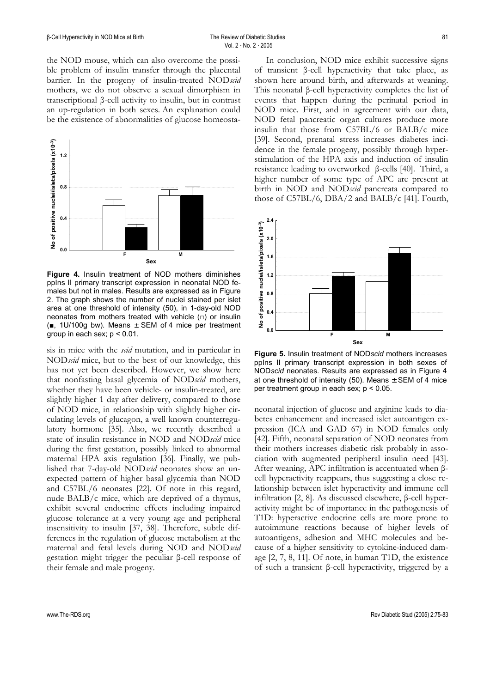the NOD mouse, which can also overcome the possible problem of insulin transfer through the placental barrier. In the progeny of insulin-treated NOD*scid* mothers, we do not observe a sexual dimorphism in transcriptional β-cell activity to insulin, but in contrast an up-regulation in both sexes. An explanation could be the existence of abnormalities of glucose homeosta-



**Figure 4.** Insulin treatment of NOD mothers diminishes ppIns II primary transcript expression in neonatal NOD females but not in males. Results are expressed as in Figure 2. The graph shows the number of nuclei stained per islet area at one threshold of intensity (50), in 1-day-old NOD neonates from mothers treated with vehicle (□) or insulin (■, 1U/100g bw). Means ± SEM of 4 mice per treatment group in each sex;  $p < 0.01$ .

sis in mice with the *scid* mutation, and in particular in NOD*scid* mice, but to the best of our knowledge, this has not yet been described. However, we show here that nonfasting basal glycemia of NOD*scid* mothers, whether they have been vehicle- or insulin-treated, are slightly higher 1 day after delivery, compared to those of NOD mice, in relationship with slightly higher circulating levels of glucagon, a well known counterregulatory hormone [35]. Also, we recently described a state of insulin resistance in NOD and NOD*scid* mice during the first gestation, possibly linked to abnormal maternal HPA axis regulation [36]. Finally, we published that 7-day-old NOD*scid* neonates show an unexpected pattern of higher basal glycemia than NOD and C57BL/6 neonates [22]. Of note in this regard, nude BALB/c mice, which are deprived of a thymus, exhibit several endocrine effects including impaired glucose tolerance at a very young age and peripheral insensitivity to insulin [37, 38]. Therefore, subtle differences in the regulation of glucose metabolism at the maternal and fetal levels during NOD and NOD*scid* gestation might trigger the peculiar β-cell response of their female and male progeny.

In conclusion, NOD mice exhibit successive signs of transient β-cell hyperactivity that take place, as shown here around birth, and afterwards at weaning. This neonatal β-cell hyperactivity completes the list of events that happen during the perinatal period in NOD mice. First, and in agreement with our data, NOD fetal pancreatic organ cultures produce more insulin that those from C57BL/6 or BALB/c mice [39]. Second, prenatal stress increases diabetes incidence in the female progeny, possibly through hyperstimulation of the HPA axis and induction of insulin resistance leading to overworked β-cells [40]. Third, a higher number of some type of APC are present at birth in NOD and NOD*scid* pancreata compared to those of C57BL/6, DBA/2 and BALB/c [41]. Fourth,



**Figure 5.** Insulin treatment of NOD*scid* mothers increases ppIns II primary transcript expression in both sexes of NOD*scid* neonates. Results are expressed as in Figure 4 at one threshold of intensity (50). Means  $\pm$  SEM of 4 mice per treatment group in each sex; p < 0.05.

neonatal injection of glucose and arginine leads to diabetes enhancement and increased islet autoantigen expression (ICA and GAD 67) in NOD females only [42]. Fifth, neonatal separation of NOD neonates from their mothers increases diabetic risk probably in association with augmented peripheral insulin need [43]. After weaning, APC infiltration is accentuated when βcell hyperactivity reappears, thus suggesting a close relationship between islet hyperactivity and immune cell infiltration [2, 8]. As discussed elsewhere, β-cell hyperactivity might be of importance in the pathogenesis of T1D: hyperactive endocrine cells are more prone to autoimmune reactions because of higher levels of autoantigens, adhesion and MHC molecules and because of a higher sensitivity to cytokine-induced damage [2, 7, 8, 11]. Of note, in human T1D, the existence of such a transient β-cell hyperactivity, triggered by a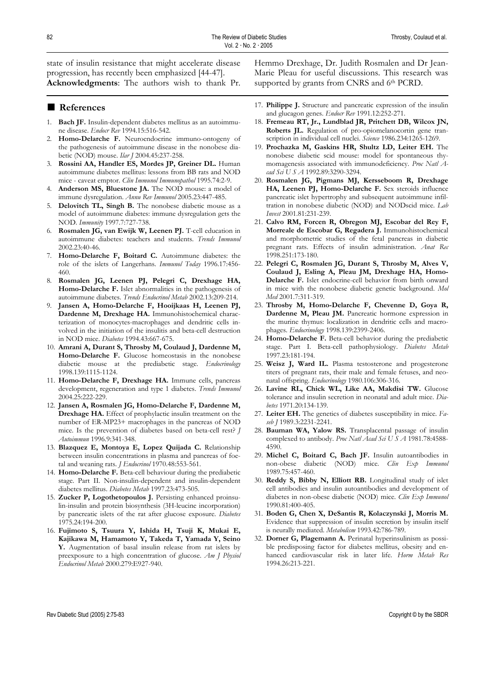state of insulin resistance that might accelerate disease progression, has recently been emphasized [44-47]. **Acknowledgments**: The authors wish to thank Pr.

■ **References** 

- 1. **Bach JF.** Insulin-dependent diabetes mellitus as an autoimmune disease. *Endocr Rev* 1994.15:516-542.
- 2. **Homo-Delarche F.** Neuroendocrine immuno-ontogeny of the pathogenesis of autoimmune disease in the nonobese diabetic (NOD) mouse. *Ilar J* 2004.45:237-258.
- 3. **Rossini AA, Handler ES, Mordes JP, Greiner DL.** Human autoimmune diabetes mellitus: lessons from BB rats and NOD mice - caveat emptor. *Clin Immunol Immunopathol* 1995.74:2-9.
- Anderson MS, Bluestone JA. The NOD mouse: a model of immune dysregulation. *Annu Rev Immunol* 2005.23:447-485.
- 5. **Delovitch TL, Singh B.** The nonobese diabetic mouse as a model of autoimmune diabetes: immune dysregulation gets the NOD. *Immunity* 1997.7:727-738.
- 6. **Rosmalen JG, van Ewijk W, Leenen PJ.** T-cell education in autoimmune diabetes: teachers and students. *Trends Immunol* 2002.23:40-46.
- 7. **Homo-Delarche F, Boitard C.** Autoimmune diabetes: the role of the islets of Langerhans. *Immunol Today* 1996.17:456- 460.
- 8. **Rosmalen JG, Leenen PJ, Pelegri C, Drexhage HA, Homo-Delarche F.** Islet abnormalities in the pathogenesis of autoimmune diabetes. *Trends Endocrinol Metab* 2002.13:209-214.
- 9. **Jansen A, Homo-Delarche F, Hooijkaas H, Leenen PJ, Dardenne M, Drexhage HA.** Immunohistochemical characterization of monocytes-macrophages and dendritic cells involved in the initiation of the insulitis and beta-cell destruction in NOD mice. *Diabetes* 1994.43:667-675.
- 10. **Amrani A, Durant S, Throsby M, Coulaud J, Dardenne M,**  Homo-Delarche F. Glucose homeostasis in the nonobese diabetic mouse at the prediabetic stage. *Endocrinology* 1998.139:1115-1124.
- 11. **Homo-Delarche F, Drexhage HA.** Immune cells, pancreas development, regeneration and type 1 diabetes. *Trends Immunol* 2004.25:222-229.
- 12. **Jansen A, Rosmalen JG, Homo-Delarche F, Dardenne M, Drexhage HA.** Effect of prophylactic insulin treatment on the number of ER-MP23+ macrophages in the pancreas of NOD mice. Is the prevention of diabetes based on beta-cell rest? *J Autoimmun* 1996.9:341-348.
- 13. **Blazquez E, Montoya E, Lopez Quijada C.** Relationship between insulin concentrations in plasma and pancreas of foetal and weaning rats. *J Endocrinol* 1970.48:553-561.
- 14. **Homo-Delarche F.** Beta-cell behaviour during the prediabetic stage. Part II. Non-insulin-dependent and insulin-dependent diabetes mellitus. *Diabetes Metab* 1997.23:473-505.
- 15. **Zucker P, Logothetopoulos J.** Persisting enhanced proinsulin-insulin and protein biosynthesis (3H-leucine incorporation) by pancreatic islets of the rat after glucose exposure. *Diabetes* 1975.24:194-200.
- 16. **Fujimoto S, Tsuura Y, Ishida H, Tsuji K, Mukai E, Kajikawa M, Hamamoto Y, Takeda T, Yamada Y, Seino Y.** Augmentation of basal insulin release from rat islets by preexposure to a high concentration of glucose. *Am J Physiol Endocrinol Metab* 2000.279:E927-940.

Hemmo Drexhage, Dr. Judith Rosmalen and Dr Jean-Marie Pleau for useful discussions. This research was supported by grants from CNRS and 6<sup>th</sup> PCRD.

- 17. **Philippe J.** Structure and pancreatic expression of the insulin and glucagon genes. *Endocr Rev* 1991.12:252-271.
- 18. **Fremeau RT, Jr., Lundblad JR, Pritchett DB, Wilcox JN, Roberts JL.** Regulation of pro-opiomelanocortin gene transcription in individual cell nuclei. *Science* 1986.234:1265-1269.
- 19. **Prochazka M, Gaskins HR, Shultz LD, Leiter EH.** The nonobese diabetic scid mouse: model for spontaneous thymomagenesis associated with immunodeficiency. *Proc Natl Acad Sci U S A* 1992.89:3290-3294.
- 20. **Rosmalen JG, Pigmans MJ, Kersseboom R, Drexhage**  HA, Leenen PJ, Homo-Delarche F. Sex steroids influence pancreatic islet hypertrophy and subsequent autoimmune infiltration in nonobese diabetic (NOD) and NODscid mice. *Lab Invest* 2001.81:231-239.
- 21. **Calvo RM, Forcen R, Obregon MJ, Escobar del Rey F, Morreale de Escobar G, Regadera J.** Immunohistochemical and morphometric studies of the fetal pancreas in diabetic pregnant rats. Effects of insulin administration. *Anat Rec* 1998.251:173-180.
- 22. **Pelegri C, Rosmalen JG, Durant S, Throsby M, Alves V, Coulaud J, Esling A, Pleau JM, Drexhage HA, Homo-Delarche F.** Islet endocrine-cell behavior from birth onward in mice with the nonobese diabetic genetic background. *Mol Med* 2001.7:311-319.
- 23. **Throsby M, Homo-Delarche F, Chevenne D, Goya R,**  Dardenne M, Pleau JM. Pancreatic hormone expression in the murine thymus: localization in dendritic cells and macrophages. *Endocrinology* 1998.139:2399-2406.
- 24. **Homo-Delarche F.** Beta-cell behavior during the prediabetic stage. Part I. Beta-cell pathophysiology. *Diabetes Metab* 1997.23:181-194.
- 25. **Weisz J, Ward IL.** Plasma testosterone and progesterone titers of pregnant rats, their male and female fetuses, and neonatal offspring. *Endocrinology* 1980.106:306-316.
- 26. **Lavine RL, Chick WL, Like AA, Makdisi TW.** Glucose tolerance and insulin secretion in neonatal and adult mice. *Diabetes* 1971.20:134-139.
- 27. **Leiter EH.** The genetics of diabetes susceptibility in mice. *Faseb J* 1989.3:2231-2241.
- 28. **Bauman WA, Yalow RS.** Transplacental passage of insulin complexed to antibody. *Proc Natl Acad Sci U S A* 1981.78:4588- 4590.
- 29. **Michel C, Boitard C, Bach JF.** Insulin autoantibodies in non-obese diabetic (NOD) mice. *Clin Exp Immunol* 1989.75:457-460.
- 30. **Reddy S, Bibby N, Elliott RB.** Longitudinal study of islet cell antibodies and insulin autoantibodies and development of diabetes in non-obese diabetic (NOD) mice. *Clin Exp Immunol* 1990.81:400-405.
- 31. **Boden G, Chen X, DeSantis R, Kolaczynski J, Morris M.**  Evidence that suppression of insulin secretion by insulin itself is neurally mediated. *Metabolism* 1993.42:786-789.
- 32. **Dorner G, Plagemann A.** Perinatal hyperinsulinism as possible predisposing factor for diabetes mellitus, obesity and enhanced cardiovascular risk in later life. *Horm Metab Res* 1994.26:213-221.

Rev Diabetic Stud (2005) 2:75-83 Copyright © by the SBDR